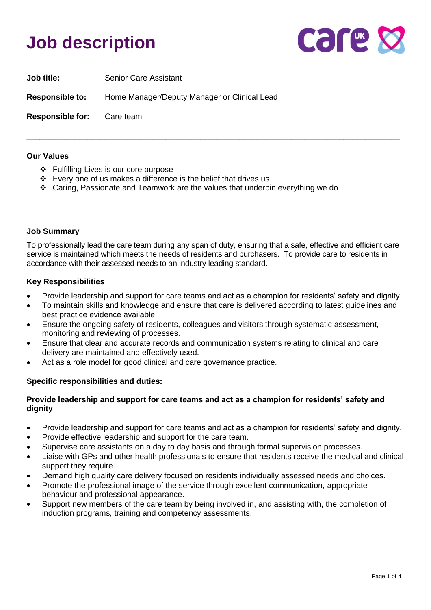# **Job description**



| <b>Job title:</b>                 | <b>Senior Care Assistant</b>                 |
|-----------------------------------|----------------------------------------------|
| <b>Responsible to:</b>            | Home Manager/Deputy Manager or Clinical Lead |
| <b>Responsible for:</b> Care team |                                              |

#### **Our Values**

- ❖ Fulfilling Lives is our core purpose
- ❖ Every one of us makes a difference is the belief that drives us
- ❖ Caring, Passionate and Teamwork are the values that underpin everything we do

#### **Job Summary**

To professionally lead the care team during any span of duty, ensuring that a safe, effective and efficient care service is maintained which meets the needs of residents and purchasers. To provide care to residents in accordance with their assessed needs to an industry leading standard.

\_\_\_\_\_\_\_\_\_\_\_\_\_\_\_\_\_\_\_\_\_\_\_\_\_\_\_\_\_\_\_\_\_\_\_\_\_\_\_\_\_\_\_\_\_\_\_\_\_\_\_\_\_\_\_\_\_\_\_\_\_\_\_\_\_\_\_\_\_\_\_\_\_\_\_\_\_\_\_\_\_\_\_\_\_\_

\_\_\_\_\_\_\_\_\_\_\_\_\_\_\_\_\_\_\_\_\_\_\_\_\_\_\_\_\_\_\_\_\_\_\_\_\_\_\_\_\_\_\_\_\_\_\_\_\_\_\_\_\_\_\_\_\_\_\_\_\_\_\_\_\_\_\_\_\_\_\_\_\_\_\_\_\_\_\_\_\_\_\_\_\_\_

#### **Key Responsibilities**

- Provide leadership and support for care teams and act as a champion for residents' safety and dignity.
- To maintain skills and knowledge and ensure that care is delivered according to latest guidelines and best practice evidence available.
- Ensure the ongoing safety of residents, colleagues and visitors through systematic assessment, monitoring and reviewing of processes.
- Ensure that clear and accurate records and communication systems relating to clinical and care delivery are maintained and effectively used.
- Act as a role model for good clinical and care governance practice.

#### **Specific responsibilities and duties:**

#### **Provide leadership and support for care teams and act as a champion for residents' safety and dignity**

- Provide leadership and support for care teams and act as a champion for residents' safety and dignity.
- Provide effective leadership and support for the care team.
- Supervise care assistants on a day to day basis and through formal supervision processes.
- Liaise with GPs and other health professionals to ensure that residents receive the medical and clinical support they require.
- Demand high quality care delivery focused on residents individually assessed needs and choices.
- Promote the professional image of the service through excellent communication, appropriate behaviour and professional appearance.
- Support new members of the care team by being involved in, and assisting with, the completion of induction programs, training and competency assessments.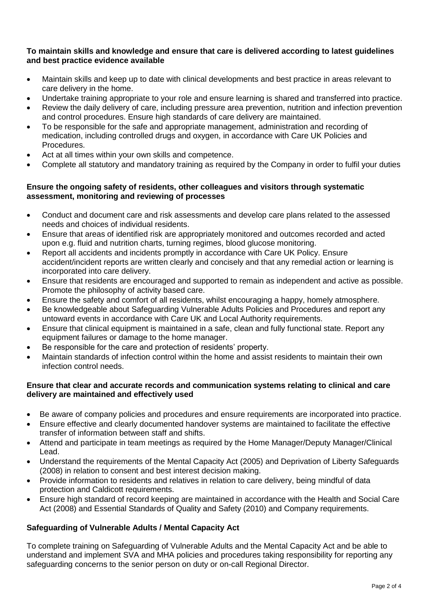#### **To maintain skills and knowledge and ensure that care is delivered according to latest guidelines and best practice evidence available**

- Maintain skills and keep up to date with clinical developments and best practice in areas relevant to care delivery in the home.
- Undertake training appropriate to your role and ensure learning is shared and transferred into practice.
- Review the daily delivery of care, including pressure area prevention, nutrition and infection prevention and control procedures. Ensure high standards of care delivery are maintained.
- To be responsible for the safe and appropriate management, administration and recording of medication, including controlled drugs and oxygen, in accordance with Care UK Policies and Procedures.
- Act at all times within your own skills and competence.
- Complete all statutory and mandatory training as required by the Company in order to fulfil your duties

### **Ensure the ongoing safety of residents, other colleagues and visitors through systematic assessment, monitoring and reviewing of processes**

- Conduct and document care and risk assessments and develop care plans related to the assessed needs and choices of individual residents.
- Ensure that areas of identified risk are appropriately monitored and outcomes recorded and acted upon e.g. fluid and nutrition charts, turning regimes, blood glucose monitoring.
- Report all accidents and incidents promptly in accordance with Care UK Policy. Ensure accident/incident reports are written clearly and concisely and that any remedial action or learning is incorporated into care delivery.
- Ensure that residents are encouraged and supported to remain as independent and active as possible. Promote the philosophy of activity based care.
- Ensure the safety and comfort of all residents, whilst encouraging a happy, homely atmosphere.
- Be knowledgeable about Safeguarding Vulnerable Adults Policies and Procedures and report any untoward events in accordance with Care UK and Local Authority requirements.
- Ensure that clinical equipment is maintained in a safe, clean and fully functional state. Report any equipment failures or damage to the home manager.
- Be responsible for the care and protection of residents' property.
- Maintain standards of infection control within the home and assist residents to maintain their own infection control needs.

### **Ensure that clear and accurate records and communication systems relating to clinical and care delivery are maintained and effectively used**

- Be aware of company policies and procedures and ensure requirements are incorporated into practice.
- Ensure effective and clearly documented handover systems are maintained to facilitate the effective transfer of information between staff and shifts.
- Attend and participate in team meetings as required by the Home Manager/Deputy Manager/Clinical Lead.
- Understand the requirements of the Mental Capacity Act (2005) and Deprivation of Liberty Safeguards (2008) in relation to consent and best interest decision making.
- Provide information to residents and relatives in relation to care delivery, being mindful of data protection and Caldicott requirements.
- Ensure high standard of record keeping are maintained in accordance with the Health and Social Care Act (2008) and Essential Standards of Quality and Safety (2010) and Company requirements.

# **Safeguarding of Vulnerable Adults / Mental Capacity Act**

To complete training on Safeguarding of Vulnerable Adults and the Mental Capacity Act and be able to understand and implement SVA and MHA policies and procedures taking responsibility for reporting any safeguarding concerns to the senior person on duty or on-call Regional Director.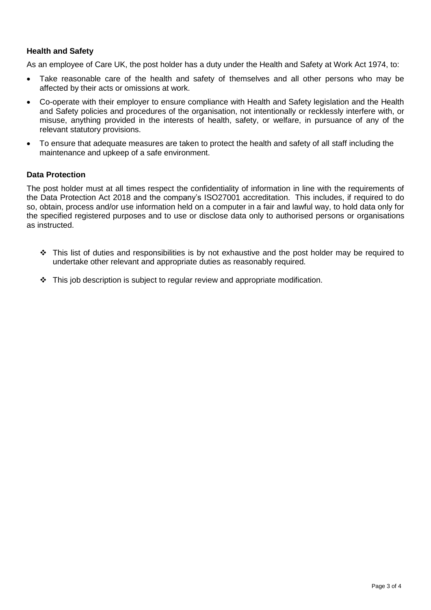# **Health and Safety**

As an employee of Care UK, the post holder has a duty under the Health and Safety at Work Act 1974, to:

- Take reasonable care of the health and safety of themselves and all other persons who may be affected by their acts or omissions at work.
- Co-operate with their employer to ensure compliance with Health and Safety legislation and the Health and Safety policies and procedures of the organisation, not intentionally or recklessly interfere with, or misuse, anything provided in the interests of health, safety, or welfare, in pursuance of any of the relevant statutory provisions.
- To ensure that adequate measures are taken to protect the health and safety of all staff including the maintenance and upkeep of a safe environment.

#### **Data Protection**

The post holder must at all times respect the confidentiality of information in line with the requirements of the Data Protection Act 2018 and the company's ISO27001 accreditation. This includes, if required to do so, obtain, process and/or use information held on a computer in a fair and lawful way, to hold data only for the specified registered purposes and to use or disclose data only to authorised persons or organisations as instructed.

- ❖ This list of duties and responsibilities is by not exhaustive and the post holder may be required to undertake other relevant and appropriate duties as reasonably required.
- $\div$  This job description is subject to regular review and appropriate modification.